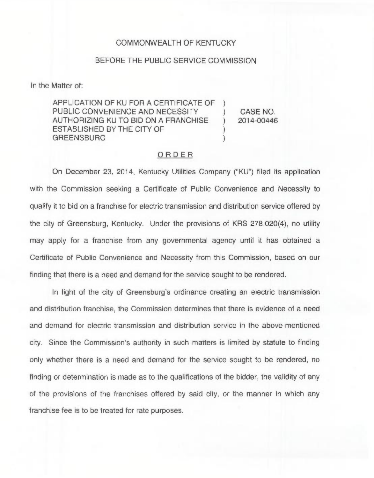## COMMONWEALTH OF KENTUCKY

## BEFORE THE PUBLIC SERVICE COMMISSION

In the Matter of:

APPLICATION OF KU FOR A CERTIFICATE OF ) PUBLIC CONVENIENCE AND NECESSITY AUTHORIZING KU TO BID ON A FRANCHISE ) ESTABLISHED BY THE CITY OF ) **GREENSBURG** 

CASE NO. 2014-00446

## ORDER

On December 23, 2014, Kentucky Utilities Company ("KU") filed its application with the Commission seeking a Certificate of Public Convenience and Necessity to qualify it to bid on a franchise for electric transmission and distribution service offered by the city of Greensburg, Kentucky. Under the provisions of KRS 278.020(4), no utility may apply for a franchise from any governmental agency until it has obtained a Certificate of Public Convenience and Necessity from this Commission, based on our finding that there is a need and demand for the service sought to be rendered.

In light of the city of Greensburg's ordinance creating an electric transmission and distribution franchise, the Commission determines that there is evidence of a need and demand for electric transmission and distribution service in the above-mentioned city. Since the Commission's authority in such matters is limited by statute to finding only whether there is a need and demand for the service sought to be rendered, no finding or determination is made as to the qualifications of the bidder, the validity of any of the provisions of the franchises offered by said city, or the manner in which any franchise fee is to be treated for rate purposes.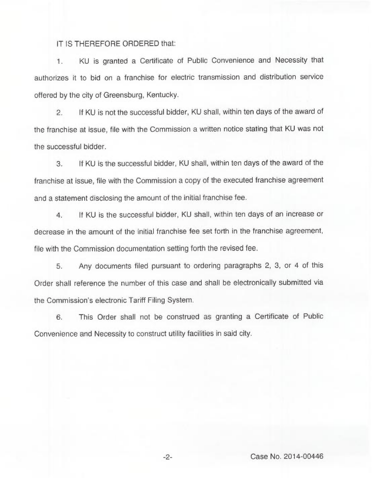IT IS THEREFORE ORDERED that:

1. KU is granted a Certificate of Public Convenience and Necessity that authorizes it to bid on a franchise for electric transmission and distribution service offered by the city of Greensburg, Kentucky.

2. If KU is not the successful bidder, KU shall, within ten days of the award of the franchise at issue, file with the Commission a written notice stating that KU was not the successful bidder.

3. If KU is the successful bidder, KU shall, within ten days of the award of the franchise at issue, file with the Commission a copy of the executed franchise agreement and a statement disclosing the amount of the initial franchise fee.

4. If KU is the successful bidder, KU shall, within ten days of an increase or decrease in the amount of the initial franchise fee set forth in the franchise agreement, file with the Commission documentation setting forth the revised fee.

5. Any documents filed pursuant to ordering paragraphs 2, 3, or 4 of this Order shall reference the number of this case and shall be electronically submitted via the Commission's electronic Tariff Filing System.

6. This Order shall not be construed as granting a Certificate of Public Convenience and Necessity to construct utility facilities in said city.

Case No. 2014-00446

 $-2-$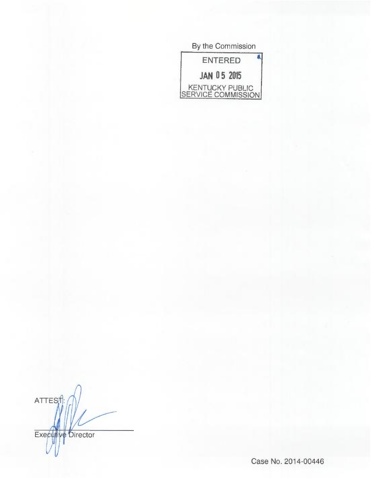| By the Commission                     |  |
|---------------------------------------|--|
| <b>ENTERED</b>                        |  |
| <b>JAN 05 2015</b>                    |  |
| KENTUCKY PUBLIC<br>SERVICÉ COMMISSION |  |

ATTES<sub>1</sub> Executive Director

Case No. 2014-00446